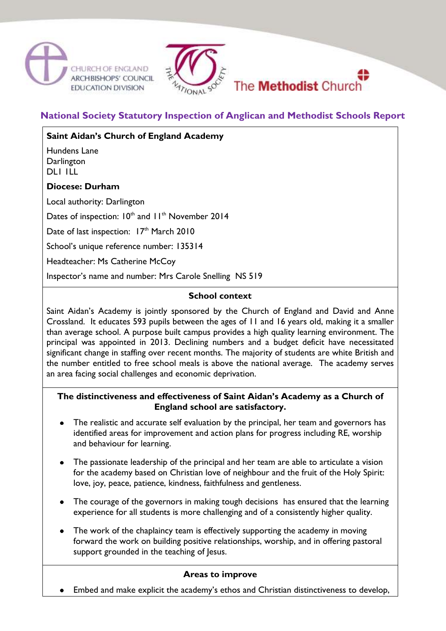



# **National Society Statutory Inspection of Anglican and Methodist Schools Report**

# **Saint Aidan's Church of England Academy**

Hundens Lane **Darlington** DL1 1LL

#### **Diocese: Durham**

Local authority: Darlington

Dates of inspection: 10<sup>th</sup> and 11<sup>th</sup> November 2014

Date of last inspection: 17<sup>th</sup> March 2010

School's unique reference number: 135314

Headteacher: Ms Catherine McCoy

Inspector's name and number: Mrs Carole Snelling NS 519

#### **School context**

Saint Aidan's Academy is jointly sponsored by the Church of England and David and Anne Crossland. It educates 593 pupils between the ages of 11 and 16 years old, making it a smaller than average school. A purpose built campus provides a high quality learning environment. The principal was appointed in 2013. Declining numbers and a budget deficit have necessitated significant change in staffing over recent months. The majority of students are white British and the number entitled to free school meals is above the national average. The academy serves an area facing social challenges and economic deprivation.

# **The distinctiveness and effectiveness of Saint Aidan's Academy as a Church of England school are satisfactory.**

- The realistic and accurate self evaluation by the principal, her team and governors has identified areas for improvement and action plans for progress including RE, worship and behaviour for learning.
- The passionate leadership of the principal and her team are able to articulate a vision for the academy based on Christian love of neighbour and the fruit of the Holy Spirit: love, joy, peace, patience, kindness, faithfulness and gentleness.
- The courage of the governors in making tough decisions has ensured that the learning experience for all students is more challenging and of a consistently higher quality.
- The work of the chaplaincy team is effectively supporting the academy in moving forward the work on building positive relationships, worship, and in offering pastoral support grounded in the teaching of Jesus.

#### **Areas to improve**

Embed and make explicit the academy's ethos and Christian distinctiveness to develop,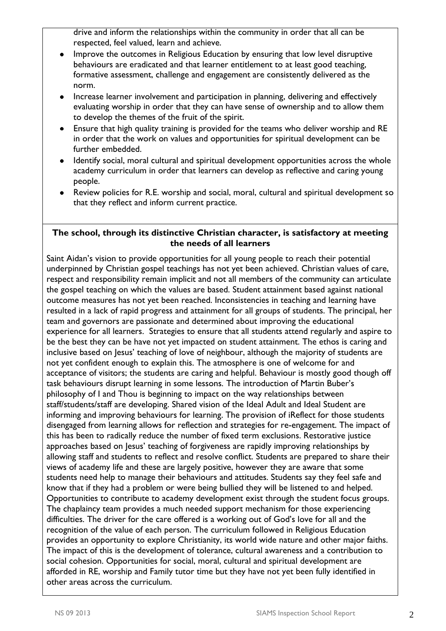drive and inform the relationships within the community in order that all can be respected, feel valued, learn and achieve.

- Improve the outcomes in Religious Education by ensuring that low level disruptive behaviours are eradicated and that learner entitlement to at least good teaching, formative assessment, challenge and engagement are consistently delivered as the norm.
- Increase learner involvement and participation in planning, delivering and effectively evaluating worship in order that they can have sense of ownership and to allow them to develop the themes of the fruit of the spirit.
- Ensure that high quality training is provided for the teams who deliver worship and RE in order that the work on values and opportunities for spiritual development can be further embedded.
- Identify social, moral cultural and spiritual development opportunities across the whole academy curriculum in order that learners can develop as reflective and caring young people.
- Review policies for R.E. worship and social, moral, cultural and spiritual development so that they reflect and inform current practice.

#### **The school, through its distinctive Christian character, is satisfactory at meeting the needs of all learners**

Saint Aidan's vision to provide opportunities for all young people to reach their potential underpinned by Christian gospel teachings has not yet been achieved. Christian values of care, respect and responsibility remain implicit and not all members of the community can articulate the gospel teaching on which the values are based. Student attainment based against national outcome measures has not yet been reached. Inconsistencies in teaching and learning have resulted in a lack of rapid progress and attainment for all groups of students. The principal, her team and governors are passionate and determined about improving the educational experience for all learners. Strategies to ensure that all students attend regularly and aspire to be the best they can be have not yet impacted on student attainment. The ethos is caring and inclusive based on Jesus' teaching of love of neighbour, although the majority of students are not yet confident enough to explain this. The atmosphere is one of welcome for and acceptance of visitors; the students are caring and helpful. Behaviour is mostly good though off task behaviours disrupt learning in some lessons. The introduction of Martin Buber's philosophy of I and Thou is beginning to impact on the way relationships between staff/students/staff are developing. Shared vision of the Ideal Adult and Ideal Student are informing and improving behaviours for learning. The provision of iReflect for those students disengaged from learning allows for reflection and strategies for re-engagement. The impact of this has been to radically reduce the number of fixed term exclusions. Restorative justice approaches based on Jesus' teaching of forgiveness are rapidly improving relationships by allowing staff and students to reflect and resolve conflict. Students are prepared to share their views of academy life and these are largely positive, however they are aware that some students need help to manage their behaviours and attitudes. Students say they feel safe and know that if they had a problem or were being bullied they will be listened to and helped. Opportunities to contribute to academy development exist through the student focus groups. The chaplaincy team provides a much needed support mechanism for those experiencing difficulties. The driver for the care offered is a working out of God's love for all and the recognition of the value of each person. The curriculum followed in Religious Education provides an opportunity to explore Christianity, its world wide nature and other major faiths. The impact of this is the development of tolerance, cultural awareness and a contribution to social cohesion. Opportunities for social, moral, cultural and spiritual development are afforded in RE, worship and Family tutor time but they have not yet been fully identified in other areas across the curriculum.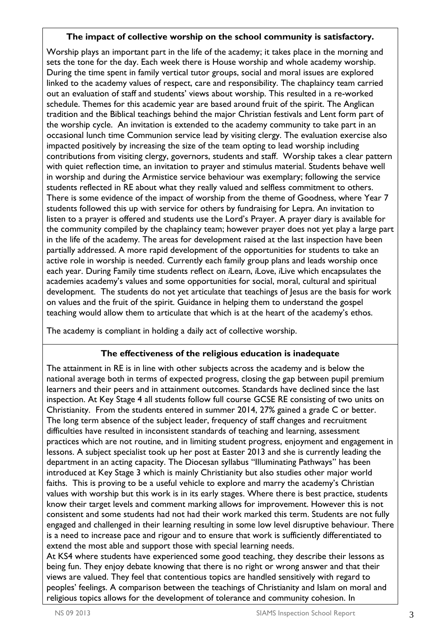# **The impact of collective worship on the school community is satisfactory.**

Worship plays an important part in the life of the academy; it takes place in the morning and sets the tone for the day. Each week there is House worship and whole academy worship. During the time spent in family vertical tutor groups, social and moral issues are explored linked to the academy values of respect, care and responsibility. The chaplaincy team carried out an evaluation of staff and students' views about worship. This resulted in a re-worked schedule. Themes for this academic year are based around fruit of the spirit. The Anglican tradition and the Biblical teachings behind the major Christian festivals and Lent form part of the worship cycle. An invitation is extended to the academy community to take part in an occasional lunch time Communion service lead by visiting clergy. The evaluation exercise also impacted positively by increasing the size of the team opting to lead worship including contributions from visiting clergy, governors, students and staff. Worship takes a clear pattern with quiet reflection time, an invitation to prayer and stimulus material. Students behave well in worship and during the Armistice service behaviour was exemplary; following the service students reflected in RE about what they really valued and selfless commitment to others. There is some evidence of the impact of worship from the theme of Goodness, where Year 7 students followed this up with service for others by fundraising for Lepra. An invitation to listen to a prayer is offered and students use the Lord's Prayer. A prayer diary is available for the community compiled by the chaplaincy team; however prayer does not yet play a large part in the life of the academy. The areas for development raised at the last inspection have been partially addressed. A more rapid development of the opportunities for students to take an active role in worship is needed. Currently each family group plans and leads worship once each year. During Family time students reflect on *i*Learn, *i*Love, *i*Live which encapsulates the academies academy's values and some opportunities for social, moral, cultural and spiritual development. The students do not yet articulate that teachings of Jesus are the basis for work on values and the fruit of the spirit. Guidance in helping them to understand the gospel teaching would allow them to articulate that which is at the heart of the academy's ethos.

The academy is compliant in holding a daily act of collective worship.

# **The effectiveness of the religious education is inadequate**

The attainment in RE is in line with other subjects across the academy and is below the national average both in terms of expected progress, closing the gap between pupil premium learners and their peers and in attainment outcomes. Standards have declined since the last inspection. At Key Stage 4 all students follow full course GCSE RE consisting of two units on Christianity. From the students entered in summer 2014, 27% gained a grade C or better. The long term absence of the subject leader, frequency of staff changes and recruitment difficulties have resulted in inconsistent standards of teaching and learning, assessment practices which are not routine, and in limiting student progress, enjoyment and engagement in lessons. A subject specialist took up her post at Easter 2013 and she is currently leading the department in an acting capacity. The Diocesan syllabus "Illuminating Pathways" has been introduced at Key Stage 3 which is mainly Christianity but also studies other major world faiths. This is proving to be a useful vehicle to explore and marry the academy's Christian values with worship but this work is in its early stages. Where there is best practice, students know their target levels and comment marking allows for improvement. However this is not consistent and some students had not had their work marked this term. Students are not fully engaged and challenged in their learning resulting in some low level disruptive behaviour. There is a need to increase pace and rigour and to ensure that work is sufficiently differentiated to extend the most able and support those with special learning needs.

At KS4 where students have experienced some good teaching, they describe their lessons as being fun. They enjoy debate knowing that there is no right or wrong answer and that their views are valued. They feel that contentious topics are handled sensitively with regard to peoples' feelings. A comparison between the teachings of Christianity and Islam on moral and religious topics allows for the development of tolerance and community cohesion. In